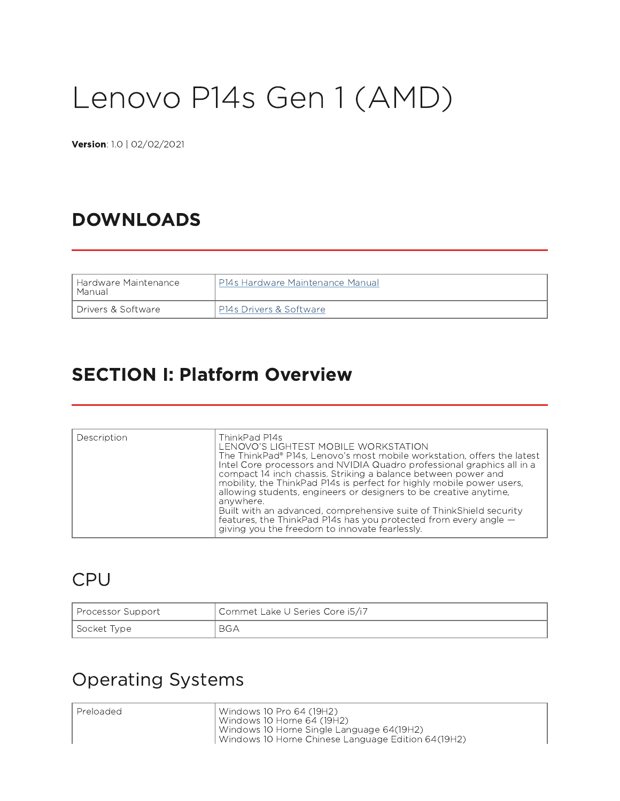# Lenovo P14s Gen 1 (AMD)

Version: 1.0 | 02/02/2021

## DOWNLOADS

| l Hardware Maintenance I<br>l Manual | P14s Hardware Maintenance Manual |
|--------------------------------------|----------------------------------|
| l Drivers & Software                 | P14s Drivers & Software          |

#### SECTION I: Platform Overview

| Description | ThinkPad P14s<br>LENOVO'S LIGHTEST MOBILE WORKSTATION<br>The ThinkPad® P14s, Lenovo's most mobile workstation, offers the latest<br>Intel Core processors and NVIDIA Quadro professional graphics all in a<br>compact 14 inch chassis. Striking a balance between power and<br>mobility, the ThinkPad P14s is perfect for highly mobile power users,<br>allowing students, engineers or designers to be creative anytime,<br>anvwhere.<br>Built with an advanced, comprehensive suite of ThinkShield security<br>features, the ThinkPad P14s has you protected from every angle $-$<br>giving you the freedom to innovate fearlessly. |
|-------------|---------------------------------------------------------------------------------------------------------------------------------------------------------------------------------------------------------------------------------------------------------------------------------------------------------------------------------------------------------------------------------------------------------------------------------------------------------------------------------------------------------------------------------------------------------------------------------------------------------------------------------------|

#### CPU

| Processor Support | Commet Lake U Series Core i5/i7 |
|-------------------|---------------------------------|
| Socket Type       | <b>BGA</b>                      |

#### Operating Systems

Preloaded Windows 10 Pro 64 (19H2) Windows 10 Home 64 (19H2) Windows 10 Home Single Language 64(19H2) Windows 10 Home Chinese Language Edition 64(19H2)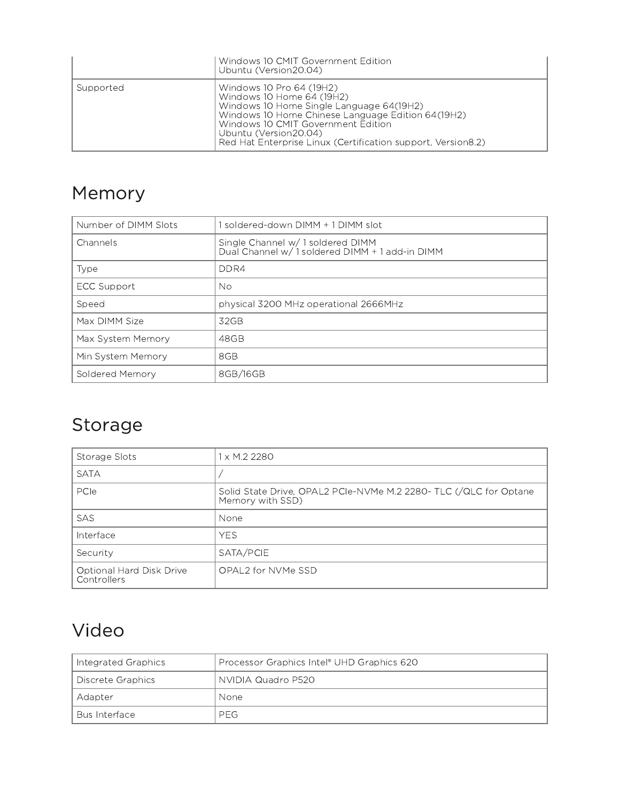|           | Windows 10 CMIT Government Edition<br>Ubuntu (Version20.04)                                                                                                                                                                                                                            |
|-----------|----------------------------------------------------------------------------------------------------------------------------------------------------------------------------------------------------------------------------------------------------------------------------------------|
| Supported | Windows 10 Pro 64 (19H2)<br>Windows 10 Home 64 (19H2)<br>Windows 10 Home Single Language 64(19H2)<br>Windows 10 Home Chinese Language Edition 64(19H2)<br>Windows 10 CMIT Government Edition<br>Ubuntu (Version20.04)<br>Red Hat Enterprise Linux (Certification support, Version 8.2) |

# Memory

| Number of DIMM Slots | 1 soldered-down DIMM + 1 DIMM slot                                                 |
|----------------------|------------------------------------------------------------------------------------|
| Channels             | Single Channel w/1 soldered DIMM<br>Dual Channel w/1 soldered DIMM + 1 add-in DIMM |
| Type                 | DDR4                                                                               |
| <b>ECC Support</b>   | No.                                                                                |
| Speed                | physical 3200 MHz operational 2666MHz                                              |
| Max DIMM Size        | 32GB                                                                               |
| Max System Memory    | 48GB                                                                               |
| Min System Memory    | 8GB                                                                                |
| Soldered Memory      | 8GB/16GB                                                                           |

# Storage

| Storage Slots                           | 1 x M.2 2280                                                                          |
|-----------------------------------------|---------------------------------------------------------------------------------------|
| <b>SATA</b>                             |                                                                                       |
| PCIe                                    | Solid State Drive, OPAL2 PCIe-NVMe M.2 2280- TLC (/QLC for Optane<br>Memory with SSD) |
| SAS                                     | None                                                                                  |
| Interface                               | <b>YES</b>                                                                            |
| Security                                | SATA/PCIE                                                                             |
| Optional Hard Disk Drive<br>Controllers | OPAL2 for NVMe SSD                                                                    |

## Video

| Integrated Graphics | Processor Graphics Intel® UHD Graphics 620 |
|---------------------|--------------------------------------------|
| Discrete Graphics   | NVIDIA Quadro P520                         |
| Adapter             | None                                       |
| Bus Interface       | <b>PEG</b>                                 |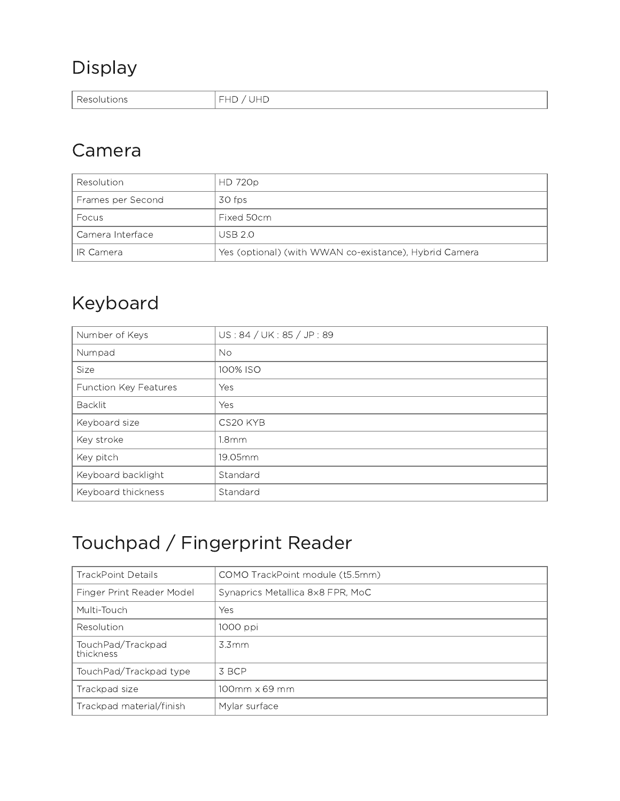## Display

|  | $\sim$ $\sim$ $\sim$<br>$\lambda$ $\sim$ $\sim$<br>≺esoiutions | $\overline{ }$<br>ᅚ<br>- |
|--|----------------------------------------------------------------|--------------------------|
|--|----------------------------------------------------------------|--------------------------|

#### Camera

| Resolution         | HD 720p                                                |
|--------------------|--------------------------------------------------------|
| Frames per Second  | 30 fps                                                 |
| <b>Focus</b>       | Fixed 50cm                                             |
| l Camera Interface | USB <sub>20</sub>                                      |
| IR Camera          | Yes (optional) (with WWAN co-existance), Hybrid Camera |

## Keyboard

| Number of Keys        | US: 84 / UK: 85 / JP: 89 |
|-----------------------|--------------------------|
| Numpad                | No.                      |
| Size                  | 100% ISO                 |
| Function Key Features | Yes                      |
| <b>Backlit</b>        | Yes                      |
| Keyboard size         | CS20 KYB                 |
| Key stroke            | 1.8 <sub>mm</sub>        |
| Key pitch             | 19.05mm                  |
| Keyboard backlight    | Standard                 |
| Keyboard thickness    | Standard                 |

# Touchpad / Fingerprint Reader

| <b>TrackPoint Details</b>      | COMO TrackPoint module (t5.5mm)  |
|--------------------------------|----------------------------------|
| Finger Print Reader Model      | Synaprics Metallica 8x8 FPR, MoC |
| Multi-Touch                    | Yes                              |
| Resolution                     | 1000 ppi                         |
| TouchPad/Trackpad<br>thickness | 3.3mm                            |
| TouchPad/Trackpad type         | 3 BCP                            |
| Trackpad size                  | $100$ mm $\times$ 69 mm          |
| Trackpad material/finish       | Mylar surface                    |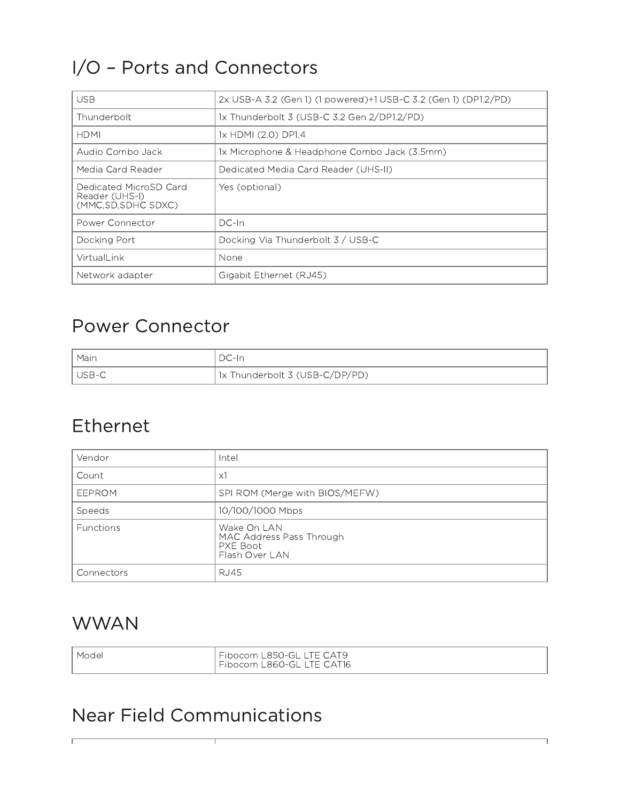# I/O – Ports and Connectors

| <b>USB</b>                                                       | 2x USB-A 3.2 (Gen 1) (1 powered)+1 USB-C 3.2 (Gen 1) (DP1.2/PD) |
|------------------------------------------------------------------|-----------------------------------------------------------------|
| Thunderbolt                                                      | 1x Thunderbolt 3 (USB-C 3.2 Gen 2/DP1.2/PD)                     |
| <b>HDMI</b>                                                      | 1x HDMI (2.0) DP1.4                                             |
| Audio Combo Jack                                                 | 1x Microphone & Headphone Combo Jack (3.5mm)                    |
| Media Card Reader                                                | Dedicated Media Card Reader (UHS-II)                            |
| Dedicated MicroSD Card<br>Reader (UHS-I)<br>(MMC, SD, SDHC SDXC) | Yes (optional)                                                  |
| Power Connector                                                  | $DC-In$                                                         |
| Docking Port                                                     | Docking Via Thunderbolt 3 / USB-C                               |
| VirtualLink                                                      | None                                                            |
| Network adapter                                                  | Gigabit Ethernet (RJ45)                                         |

#### Power Connector

| Main | DC-In                          |
|------|--------------------------------|
|      | 1x Thunderbolt 3 (USB-C/DP/PD) |

#### Ethernet

| Vendor           | Intel                                                                 |
|------------------|-----------------------------------------------------------------------|
| Count            | ХÎ                                                                    |
| <b>EEPROM</b>    | SPI ROM (Merge with BIOS/MEFW)                                        |
| Speeds           | 10/100/1000 Mbps                                                      |
| <b>Functions</b> | Wake On LAN<br>MAC Address Pass Through<br>PXE Boot<br>Flash Over LAN |
| Connectors       | <b>RJ45</b>                                                           |

#### **WWAN**

Ē

| I Model | Fibocom L850-GL LTE CAT9<br>Fibocom L860-GL LTE CAT16 |  |
|---------|-------------------------------------------------------|--|
|---------|-------------------------------------------------------|--|

#### Near Field Communications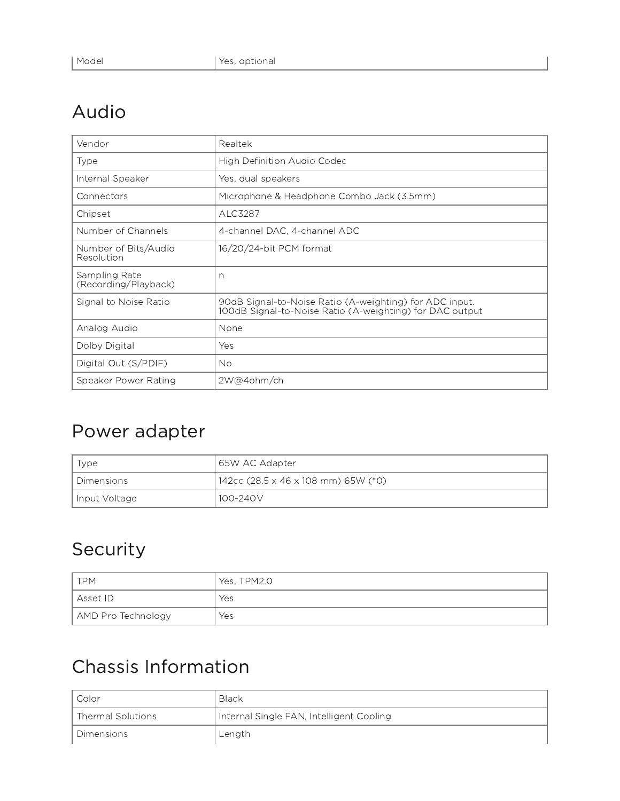## Audio

| Vendor                                | Realtek                                                                                                             |
|---------------------------------------|---------------------------------------------------------------------------------------------------------------------|
| Type                                  | <b>High Definition Audio Codec</b>                                                                                  |
| Internal Speaker                      | Yes, dual speakers                                                                                                  |
| Connectors                            | Microphone & Headphone Combo Jack (3.5mm)                                                                           |
| Chipset                               | ALC3287                                                                                                             |
| Number of Channels                    | 4-channel DAC, 4-channel ADC                                                                                        |
| Number of Bits/Audio<br>Resolution    | 16/20/24-bit PCM format                                                                                             |
| Sampling Rate<br>(Recording/Playback) | n                                                                                                                   |
| Signal to Noise Ratio                 | 90dB Signal-to-Noise Ratio (A-weighting) for ADC input.<br>100dB Signal-to-Noise Ratio (A-weighting) for DAC output |
| Analog Audio                          | None                                                                                                                |
| Dolby Digital                         | Yes                                                                                                                 |
| Digital Out (S/PDIF)                  | <b>No</b>                                                                                                           |
| Speaker Power Rating                  | 2W@4ohm/ch                                                                                                          |

#### Power adapter

| Type          | 65W AC Adapter                      |
|---------------|-------------------------------------|
| Dimensions    | 142cc (28.5 x 46 x 108 mm) 65W (*0) |
| Input Voltage | 100-240V                            |

## Security

| TPM                | Yes, TPM2.0 |
|--------------------|-------------|
| ' Asset ID         | Yes         |
| AMD Pro Technology | Yes         |

## Chassis Information

| l Color               | <b>Black</b>                             |
|-----------------------|------------------------------------------|
| l Thermal Solutions I | Internal Single FAN, Intelligent Cooling |
| l Dimensions          | Length                                   |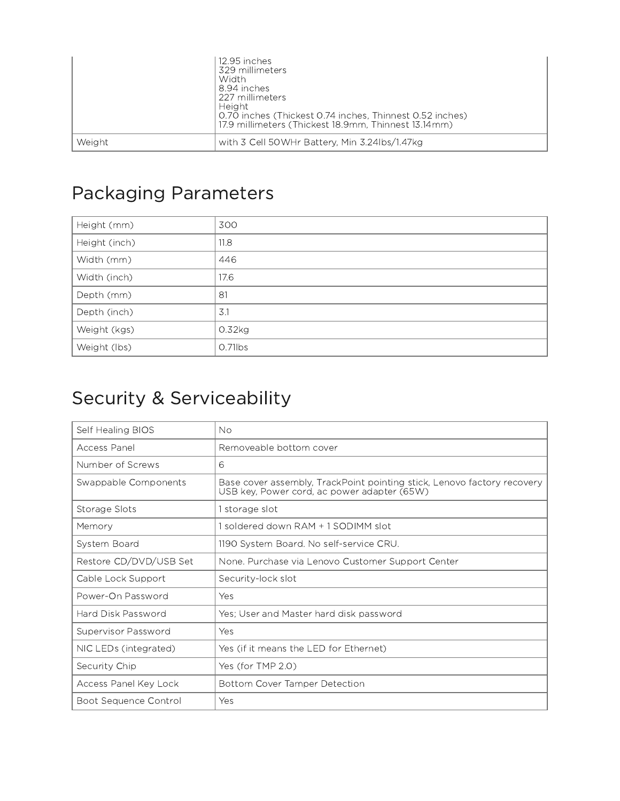|        | 12.95 inches<br>329 millimeters<br>Width<br>8.94 inches<br>227 millimeters<br>Height<br>  0.70 inches (Thickest 0.74 inches, Thinnest 0.52 inches)<br>  17.9 millimeters (Thickest 18.9mm, Thinnest 13.14mm) |
|--------|--------------------------------------------------------------------------------------------------------------------------------------------------------------------------------------------------------------|
| Weight | with 3 Cell 50WHr Battery, Min 3.24lbs/1.47kg                                                                                                                                                                |

## Packaging Parameters

| Height (mm)   | 300     |
|---------------|---------|
| Height (inch) | 11.8    |
| Width (mm)    | 446     |
| Width (inch)  | 17.6    |
| Depth (mm)    | 81      |
| Depth (inch)  | 3.1     |
| Weight (kgs)  | 0.32kg  |
| Weight (lbs)  | O.71lbs |

# Security & Serviceability

| Self Healing BIOS      | Nο                                                                                                                     |
|------------------------|------------------------------------------------------------------------------------------------------------------------|
| Access Panel           | Removeable bottom cover                                                                                                |
| Number of Screws       | 6                                                                                                                      |
| Swappable Components   | Base cover assembly, TrackPoint pointing stick, Lenovo factory recovery<br>USB key, Power cord, ac power adapter (65W) |
| Storage Slots          | storage slot                                                                                                           |
| Memory                 | soldered down RAM + 1 SODIMM slot                                                                                      |
| System Board           | 1190 System Board. No self-service CRU.                                                                                |
| Restore CD/DVD/USB Set | None. Purchase via Lenovo Customer Support Center                                                                      |
| Cable Lock Support     | Security-lock slot                                                                                                     |
| Power-On Password      | Yes                                                                                                                    |
| Hard Disk Password     | Yes; User and Master hard disk password                                                                                |
| Supervisor Password    | Yes                                                                                                                    |
| NIC LEDs (integrated)  | Yes (if it means the LED for Ethernet)                                                                                 |
| Security Chip          | Yes (for TMP 2.0)                                                                                                      |
| Access Panel Key Lock  | Bottom Cover Tamper Detection                                                                                          |
| Boot Sequence Control  | Yes                                                                                                                    |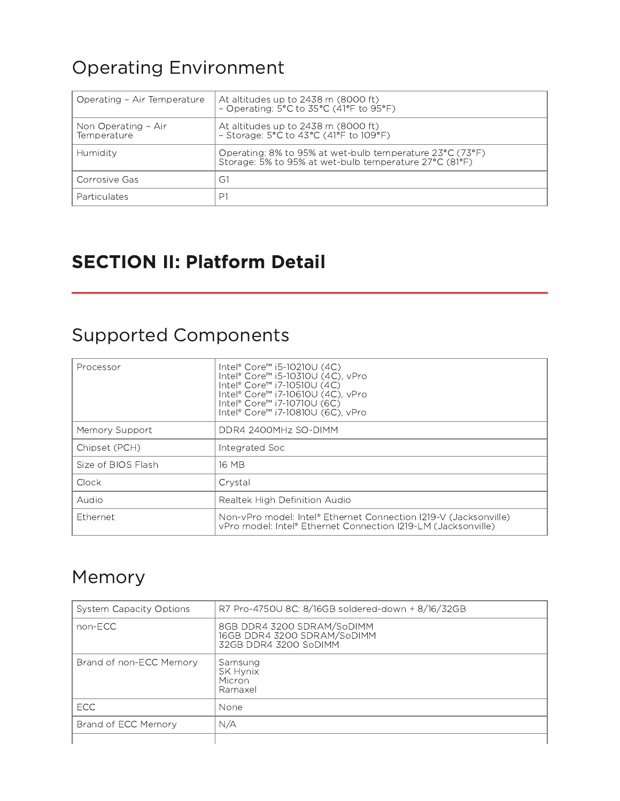## Operating Environment

| Operating - Air Temperature        | At altitudes up to 2438 m (8000 ft)<br>- Operating: $5^{\circ}$ C to 35 $^{\circ}$ C (41 $^{\circ}$ F to 95 $^{\circ}$ F) |
|------------------------------------|---------------------------------------------------------------------------------------------------------------------------|
| Non Operating - Air<br>Temperature | At altitudes up to 2438 m (8000 ft)<br>- Storage: $5^{\circ}$ C to $43^{\circ}$ C ( $41^{\circ}$ F to $109^{\circ}$ F)    |
| Humidity                           | Operating: 8% to 95% at wet-bulb temperature 23°C (73°F)<br>Storage: 5% to 95% at wet-bulb temperature 27°C (81°F)        |
| Corrosive Gas                      | G1                                                                                                                        |
| Particulates                       | P1                                                                                                                        |

#### SECTION II: Platform Detail

#### Supported Components

| Processor          | Intel® Core™ i5-10210U (4C)<br>Intel® Core™ i5-10310U (4C), vPro<br>Intel® Core™ i7-10510U (4C)<br>Intel® Core™ i7-10610U (4C), vPro<br>Intel® Core™ i7-10710U (6C)<br>Intel® Core™ i7-10810U (6C), vPro |
|--------------------|----------------------------------------------------------------------------------------------------------------------------------------------------------------------------------------------------------|
| Memory Support     | DDR4 2400MHz SO-DIMM                                                                                                                                                                                     |
| Chipset (PCH)      | Integrated Soc                                                                                                                                                                                           |
| Size of BIOS Flash | 16 MB                                                                                                                                                                                                    |
| Clock              | Crystal                                                                                                                                                                                                  |
| Audio              | Realtek High Definition Audio                                                                                                                                                                            |
| Ethernet           | Non-vPro model: Intel® Ethernet Connection I219-V (Jacksonville)<br>vPro model: Intel® Ethernet Connection I219-LM (Jacksonville)                                                                        |

## Memory

| <b>System Capacity Options</b> | R7 Pro-4750U 8C: 8/16GB soldered-down + 8/16/32GB                                  |
|--------------------------------|------------------------------------------------------------------------------------|
| non-ECC                        | 8GB DDR4 3200 SDRAM/SoDIMM<br>16GB DDR4 3200 SDRAM/SoDIMM<br>32GB DDR4 3200 SoDIMM |
| Brand of non-ECC Memory        | Samsung<br><b>SK Hynix</b><br>Micron<br>Ramaxel                                    |
| ECC.                           | None                                                                               |
| Brand of ECC Memory            | N/A                                                                                |
|                                |                                                                                    |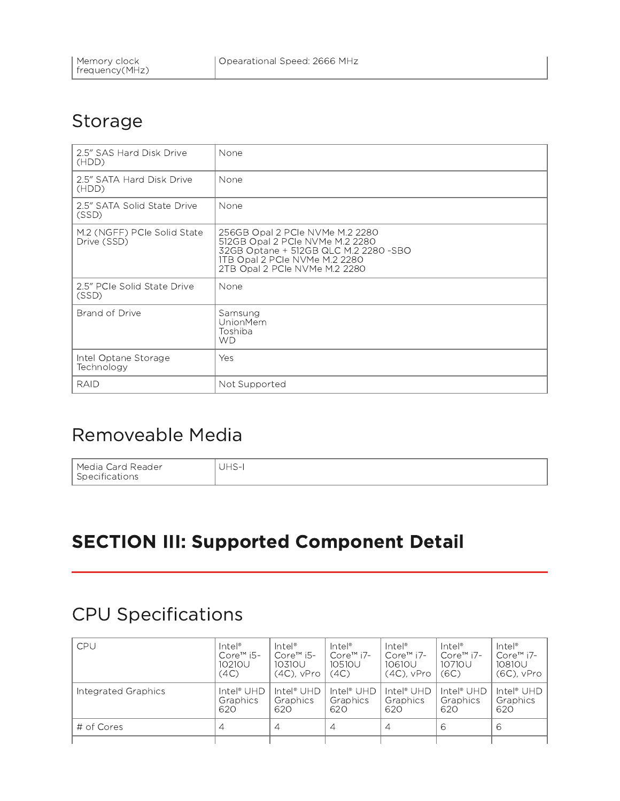#### Storage

| 2.5" SAS Hard Disk Drive<br>(HDD)          | None                                                                                                                                                                          |
|--------------------------------------------|-------------------------------------------------------------------------------------------------------------------------------------------------------------------------------|
| 2.5" SATA Hard Disk Drive<br>(HDD)         | None                                                                                                                                                                          |
| 2.5" SATA Solid State Drive<br>(SSD)       | None                                                                                                                                                                          |
| M.2 (NGFF) PCIe Solid State<br>Drive (SSD) | 256GB Opal 2 PCIe NVMe M.2 2280<br>512GB Opal 2 PCIe NVMe M.2 2280<br>32GB Optane + 512GB QLC M.2 2280 -SBO<br>1TB Opal 2 PCIe NVMe M.2 2280<br>2TB Opal 2 PCIe NVMe M.2 2280 |
| 2.5" PCIe Solid State Drive<br>(SSD)       | None                                                                                                                                                                          |
| <b>Brand of Drive</b>                      | Samsung<br><b>UnionMem</b><br>Toshiba<br>WD                                                                                                                                   |
| Intel Optane Storage<br>Technology         | Yes                                                                                                                                                                           |
| RAID                                       | Not Supported                                                                                                                                                                 |

#### Removeable Media

Media Card Reader **Specifications** 

UHS-I

## SECTION III: Supported Component Detail

#### CPU Specifications

| <b>CPU</b>          | $\text{Intel}^{\circ}$ | $\text{Intel}^{\circ}$ | $\text{Intel}^{\circ}$ | $\text{Intel}^{\circ}$ | $\text{Intel}^{\circ}$ | $\text{Intel}^{\circ}$ |
|---------------------|------------------------|------------------------|------------------------|------------------------|------------------------|------------------------|
|                     | Core™ i5-              | Core™ i5-              | $Core™$ i7-            | Core™ i7-              | Core™ i7-              | Core™ i7-              |
|                     | 10210U                 | 10310U                 | 10510U                 | 10610U                 | 10710U                 | 10810U                 |
|                     | (4C)                   | (4C), vPro             | (4C)                   | (4C), vPro             | (6C)                   | $(6C)$ , $vPro$        |
| Integrated Graphics | Intel® UHD             | Intel® UHD             | Intel <sup>®</sup> UHD | Intel® UHD             | Intel <sup>®</sup> UHD | Intel® UHD I           |
|                     | Graphics               | Graphics               | Graphics               | Graphics               | Graphics               | Graphics               |
|                     | 620                    | 620                    | 620                    | 620                    | 620                    | 620                    |
| # of Cores          | 4                      | $\overline{4}$         | 4                      | $\overline{4}$         | 6                      | 6                      |
|                     |                        |                        |                        |                        |                        |                        |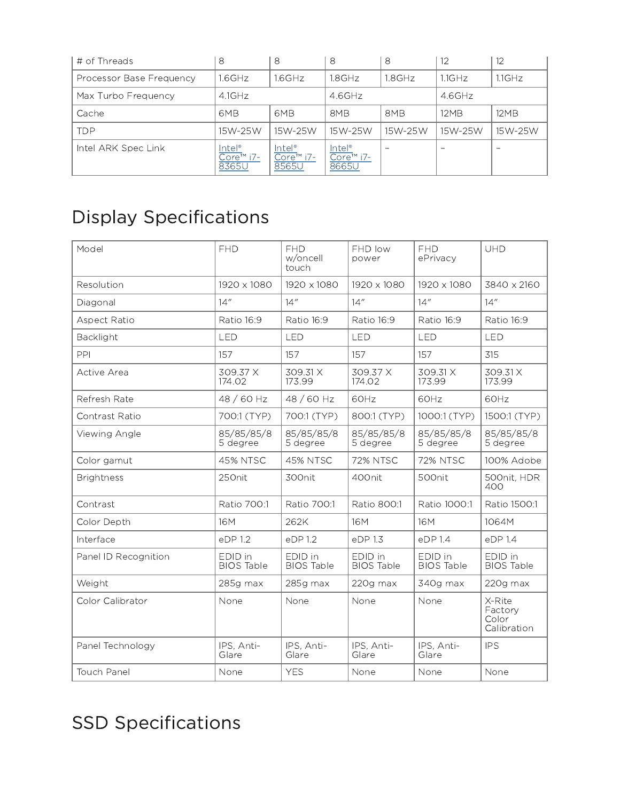| # of Threads             | 8                                   | 8                                            | 8                                            | -8      | 12                       | 12        |
|--------------------------|-------------------------------------|----------------------------------------------|----------------------------------------------|---------|--------------------------|-----------|
| Processor Base Frequency | .6GHz                               | .6GHz                                        | $1.8$ GHz                                    | 1.8GHz  | 1.1GHz                   | $1.1$ GHz |
| Max Turbo Frequency      | $4.1$ GHz                           |                                              | $4.6$ GHz                                    |         | 4.6GHz                   |           |
| Cache                    | 6MB                                 | 6MB                                          | 8MB                                          | 8MB     | 12MB                     | 12MB      |
| <b>TDP</b>               | 15W-25W                             | 15W-25W                                      | 15W-25W                                      | 15W-25W | 15W-25W                  | 15W-25W   |
| Intel ARK Spec Link      | Intel®<br><u>Core™</u> i7-<br>8365U | $\text{Intel}^{\circ}$<br>Core™ i7-<br>8565U | $\text{Intel}^{\circ}$<br>Core™ i7-<br>8665U |         | $\overline{\phantom{0}}$ |           |

# Display Specifications

| Model                | <b>FHD</b>                   | <b>FHD</b><br>w/oncell<br>touch | FHD low<br>power             | <b>FHD</b><br>ePrivacy       | UHD                                       |
|----------------------|------------------------------|---------------------------------|------------------------------|------------------------------|-------------------------------------------|
| Resolution           | 1920 x 1080                  | 1920 x 1080                     | 1920 x 1080                  | 1920 x 1080                  | 3840 x 2160                               |
| Diagonal             | 14''                         | 14''                            | 14''                         | 14''                         | 14''                                      |
| Aspect Ratio         | Ratio 16:9                   | Ratio 16:9                      | Ratio 16:9                   | Ratio 16:9                   | Ratio 16:9                                |
| Backlight            | LED                          | LED                             | LED                          | LED                          | LED                                       |
| PPI                  | 157                          | 157                             | 157                          | 157                          | 315                                       |
| <b>Active Area</b>   | 309.37 X<br>174.02           | 309.31 X<br>173.99              | 309.37 X<br>174.02           | 309.31 X<br>173.99           | 309.31 X<br>173.99                        |
| Refresh Rate         | 48 / 60 Hz                   | 48 / 60 Hz                      | 60Hz                         | 60Hz                         | 60Hz                                      |
| Contrast Ratio       | 700:1 (TYP)                  | 700:1 (TYP)                     | 800:1 (TYP)                  | 1000:1 (TYP)                 | 1500:1 (TYP)                              |
| Viewing Angle        | 85/85/85/8<br>5 degree       | 85/85/85/8<br>5 degree          | 85/85/85/8<br>5 dearee       | 85/85/85/8<br>5 degree       | 85/85/85/8<br>5 degree                    |
| Color gamut          | 45% NTSC                     | 45% NTSC                        | 72% NTSC                     | 72% NTSC                     | 100% Adobe                                |
| <b>Brightness</b>    | 250nit                       | 300nit                          | 400nit                       | 500nit                       | 500nit, HDR<br>400                        |
| Contrast             | Ratio 700:1                  | Ratio 700:1                     | Ratio 800:1                  | Ratio 1000:1                 | Ratio 1500:1                              |
| Color Depth          | 16M                          | 262K                            | 16M                          | 16M                          | 1064M                                     |
| Interface            | eDP 1.2                      | eDP 1.2                         | eDP 1.3                      | $eDP$ 1.4                    | $eDP$ 1.4                                 |
| Panel ID Recognition | EDID in<br><b>BIOS Table</b> | EDID in<br><b>BIOS Table</b>    | EDID in<br><b>BIOS Table</b> | EDID in<br><b>BIOS Table</b> | EDID in<br><b>BIOS Table</b>              |
| Weight               | 285g max                     | 285g max                        | 220g max                     | 340g max                     | 220g max                                  |
| Color Calibrator     | None                         | None                            | None                         | None                         | X-Rite<br>Factory<br>Color<br>Calibration |
| Panel Technology     | IPS, Anti-<br>Glare          | IPS, Anti-<br>Glare             | IPS, Anti-<br>Glare          | IPS, Anti-<br>Glare          | <b>IPS</b>                                |
| <b>Touch Panel</b>   | None                         | <b>YES</b>                      | None                         | None                         | None                                      |

# SSD Specifications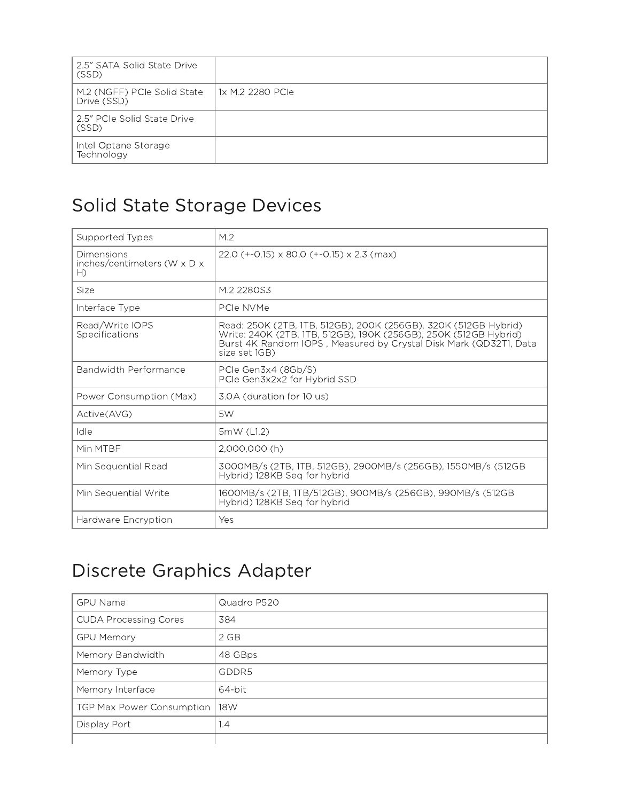| 2.5" SATA Solid State Drive<br>(SSD)       |                  |
|--------------------------------------------|------------------|
| M.2 (NGFF) PCIe Solid State<br>Drive (SSD) | 1x M.2 2280 PCIe |
| 2.5" PCIe Solid State Drive<br>(SSD)       |                  |
| Intel Optane Storage<br>Technology         |                  |

# Solid State Storage Devices

| Supported Types                                             | M.2                                                                                                                                                                                                                       |
|-------------------------------------------------------------|---------------------------------------------------------------------------------------------------------------------------------------------------------------------------------------------------------------------------|
| Dimensions<br>inches/centimeters ( $W \times D \times$<br>H | $22.0$ (+-0.15) x 80.0 (+-0.15) x 2.3 (max)                                                                                                                                                                               |
| Size                                                        | M.2 2280S3                                                                                                                                                                                                                |
| Interface Type                                              | PCIe NVMe                                                                                                                                                                                                                 |
| Read/Write IOPS<br>Specifications                           | Read: 250K (2TB, 1TB, 512GB), 200K (256GB), 320K (512GB Hybrid)<br>Write: 240K (2TB, 1TB, 512GB), 190K (256GB), 250K (512GB Hybrid)<br>Burst 4K Random IOPS, Measured by Crystal Disk Mark (QD32T1, Data<br>size set 1GB) |
| Bandwidth Performance                                       | PCIe Gen3x4 (8Gb/S)<br>PCIe Gen3x2x2 for Hybrid SSD                                                                                                                                                                       |
| Power Consumption (Max)                                     | 3.0A (duration for 10 us)                                                                                                                                                                                                 |
| Active(AVG)                                                 | 5W                                                                                                                                                                                                                        |
| Idle                                                        | 5mW (L1.2)                                                                                                                                                                                                                |
| Min MTBF                                                    | 2,000,000 (h)                                                                                                                                                                                                             |
| Min Sequential Read                                         | 3000MB/s (2TB, 1TB, 512GB), 2900MB/s (256GB), 1550MB/s (512GB<br>Hybrid) 128KB Seq for hybrid                                                                                                                             |
| Min Sequential Write                                        | 1600MB/s (2TB, 1TB/512GB), 900MB/s (256GB), 990MB/s (512GB<br>Hybrid) 128KB Seq for hybrid                                                                                                                                |
| Hardware Encryption                                         | Yes                                                                                                                                                                                                                       |

## Discrete Graphics Adapter

| <b>GPU Name</b>              | Quadro P520 |
|------------------------------|-------------|
| <b>CUDA Processing Cores</b> | 384         |
| <b>GPU Memory</b>            | $2$ GB      |
| Memory Bandwidth             | 48 GBps     |
| Memory Type                  | GDDR5       |
| Memory Interface             | 64-bit      |
| TGP Max Power Consumption    | 18W         |
| Display Port                 | 1.4         |
|                              |             |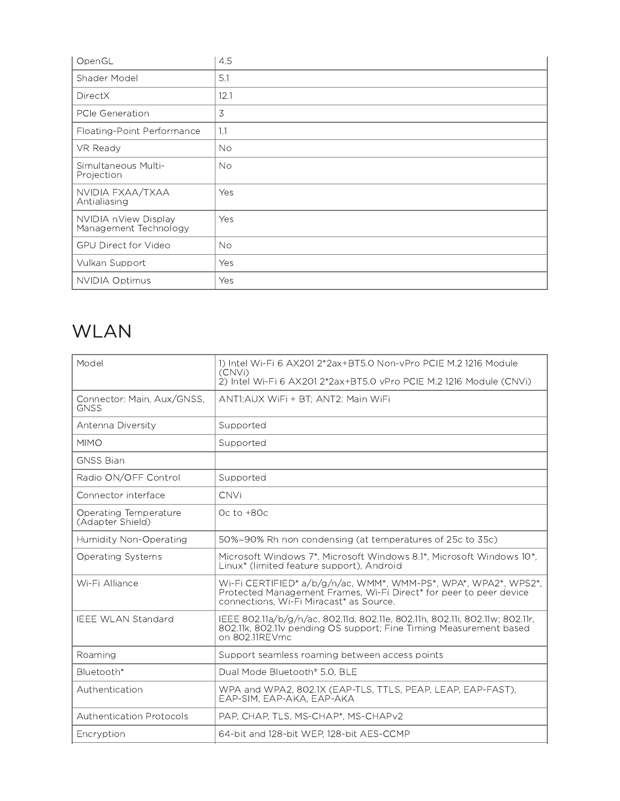| OpenGL                                        | 4.5       |
|-----------------------------------------------|-----------|
| Shader Model                                  | 5.1       |
| <b>DirectX</b>                                | 12.1      |
| PCIe Generation                               | 3         |
| Floating-Point Performance                    | 1.1       |
| VR Ready                                      | No.       |
| Simultaneous Multi-<br>Projection             | <b>No</b> |
| NVIDIA FXAA/TXAA<br>Antialiasing              | Yes       |
| NVIDIA nView Display<br>Management Technology | Yes       |
| GPU Direct for Video                          | <b>No</b> |
| Vulkan Support                                | Yes       |
| <b>NVIDIA Optimus</b>                         | Yes       |

## WLAN

| Model                                     | 1) Intel Wi-Fi 6 AX201 2*2ax+BT5.0 Non-yPro PCIE M.2 1216 Module<br>(CNVi)                                                                                                       |
|-------------------------------------------|----------------------------------------------------------------------------------------------------------------------------------------------------------------------------------|
|                                           | 2) Intel Wi-Fi 6 AX201 2*2ax+BT5.0 vPro PCIE M.2 1216 Module (CNVi)                                                                                                              |
| Connector: Main, Aux/GNSS,<br>GNSS        | ANTI: AUX WiFi + BT; ANT2: Main WiFi                                                                                                                                             |
| Antenna Diversity                         | Supported                                                                                                                                                                        |
| <b>MIMO</b>                               | Supported                                                                                                                                                                        |
| <b>GNSS Bian</b>                          |                                                                                                                                                                                  |
| Radio ON/OFF Control                      | Supported                                                                                                                                                                        |
| Connector interface                       | <b>CNVi</b>                                                                                                                                                                      |
| Operating Temperature<br>(Adapter Shield) | Octo $+80c$                                                                                                                                                                      |
| <b>Humidity Non-Operating</b>             | 50%~90% Rh non condensing (at temperatures of 25c to 35c)                                                                                                                        |
| Operating Systems                         | Microsoft Windows 7*, Microsoft Windows 8.1*, Microsoft Windows 10*,<br>Linux* (limited feature support), Android                                                                |
| Wi-Fi Alliance                            | Wi-Fi CERTIFIED* a/b/g/n/ac, WMM*, WMM-PS*, WPA*, WPA2*, WPS2*,<br>Protected Management Frames, Wi-Fi Direct* for peer to peer device<br>connections, Wi-Fi Miracast* as Source. |
| <b>IEEE WLAN Standard</b>                 | IEEE 802.11a/b/g/n/ac, 802.11d, 802.11e, 802.11h, 802.11i, 802.11w; 802.11r,<br>802.11k, 802.11v pending OS support; Fine Timing Measurement based<br>on 802.11REVmc             |
| Roaming                                   | Support seamless roaming between access points                                                                                                                                   |
| Bluetooth*                                | Dual Mode Bluetooth <sup>®</sup> 5.0, BLE                                                                                                                                        |
| Authentication                            | WPA and WPA2, 802.1X (EAP-TLS, TTLS, PEAP, LEAP, EAP-FAST),<br>EAP-SIM, EAP-AKA, EAP-AKA                                                                                         |
| Authentication Protocols                  | PAP. CHAP. TLS. MS-CHAP*. MS-CHAPv2                                                                                                                                              |
| Encryption                                | 64-bit and 128-bit WEP, 128-bit AES-CCMP                                                                                                                                         |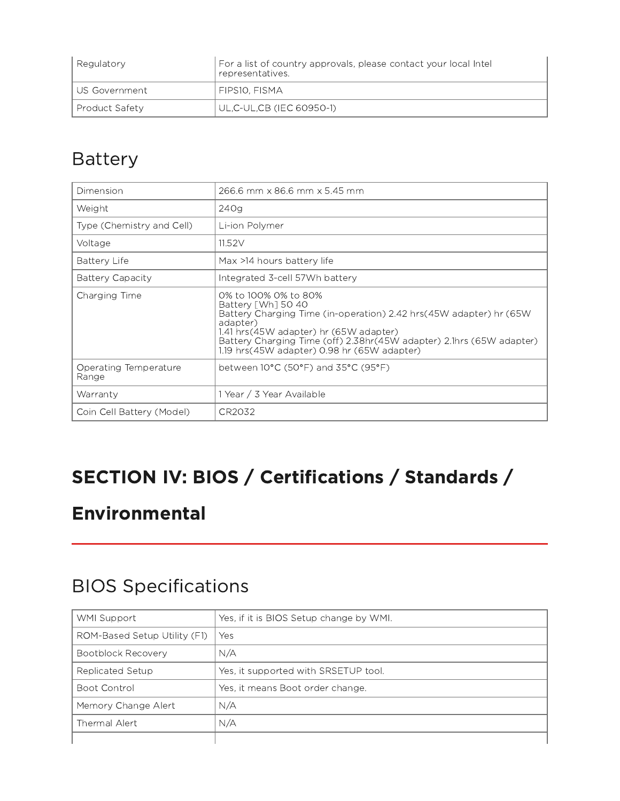| Regulatory      | For a list of country approvals, please contact your local Intel<br>representatives. |
|-----------------|--------------------------------------------------------------------------------------|
| l US Government | FIPS10. FISMA                                                                        |
| Product Safety  | UL,C-UL,CB (IEC 60950-1)                                                             |

#### Battery

| Dimension                      | 266.6 mm x 86.6 mm x 5.45 mm                                                                                                                                                                                                                                                                    |
|--------------------------------|-------------------------------------------------------------------------------------------------------------------------------------------------------------------------------------------------------------------------------------------------------------------------------------------------|
| Weight                         | 240q                                                                                                                                                                                                                                                                                            |
| Type (Chemistry and Cell)      | Li-ion Polymer                                                                                                                                                                                                                                                                                  |
| Voltage                        | 11.52V                                                                                                                                                                                                                                                                                          |
| Battery Life                   | Max >14 hours battery life                                                                                                                                                                                                                                                                      |
| <b>Battery Capacity</b>        | Integrated 3-cell 57Wh battery                                                                                                                                                                                                                                                                  |
| Charging Time                  | 0% to 100% 0% to 80%<br>Battery [Wh] 50 40<br>Battery Charging Time (in-operation) 2.42 hrs (45W adapter) hr (65W<br>adapter)<br>1.41 hrs(45W adapter) hr (65W adapter)<br>Battery Charging Time (off) 2.38hr (45W adapter) 2.1hrs (65W adapter)<br>1.19 hrs(45W adapter) 0.98 hr (65W adapter) |
| Operating Temperature<br>Range | between $10^{\circ}$ C (50 $^{\circ}$ F) and 35 $^{\circ}$ C (95 $^{\circ}$ F)                                                                                                                                                                                                                  |
| Warranty                       | 1 Year / 3 Year Available                                                                                                                                                                                                                                                                       |
| Coin Cell Battery (Model)      | CR2032                                                                                                                                                                                                                                                                                          |

# SECTION IV: BIOS / Certifications / Standards /

## Environmental

## BIOS Specifications

| WMI Support                  | Yes, if it is BIOS Setup change by WMI. |
|------------------------------|-----------------------------------------|
| ROM-Based Setup Utility (F1) | Yes                                     |
| <b>Bootblock Recovery</b>    | N/A                                     |
| <b>Replicated Setup</b>      | Yes, it supported with SRSETUP tool.    |
| <b>Boot Control</b>          | Yes, it means Boot order change.        |
| Memory Change Alert          | N/A                                     |
| Thermal Alert                | N/A                                     |
|                              |                                         |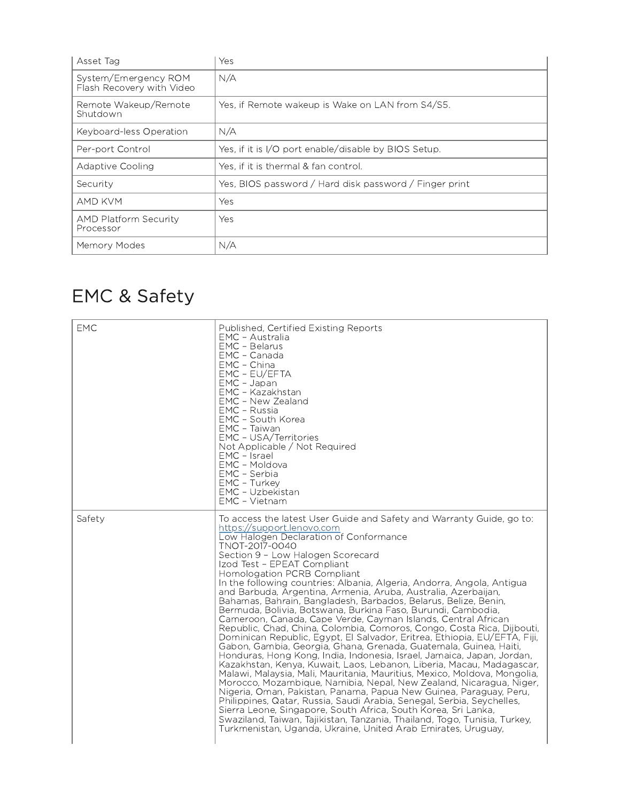| Asset Tag                                         | Yes                                                    |
|---------------------------------------------------|--------------------------------------------------------|
| System/Emergency ROM<br>Flash Recovery with Video | N/A                                                    |
| Remote Wakeup/Remote<br>Shutdown                  | Yes, if Remote wakeup is Wake on LAN from S4/S5.       |
| Keyboard-less Operation                           | N/A                                                    |
| Per-port Control                                  | Yes, if it is I/O port enable/disable by BIOS Setup.   |
| <b>Adaptive Cooling</b>                           | Yes, if it is thermal & fan control.                   |
| Security                                          | Yes, BIOS password / Hard disk password / Finger print |
| AMD KVM                                           | Yes                                                    |
| <b>AMD Platform Security</b><br>Processor         | Yes                                                    |
| Memory Modes                                      | N/A                                                    |

# EMC & Safety

| <b>EMC</b> | Published, Certified Existing Reports<br>EMC - Australia<br>EMC - Belarus<br>EMC - Canada<br>EMC - China<br>EMC - EU/EFTA<br>EMC - Japan<br>EMC - Kazakhstan<br>EMC - New Zealand<br>EMC - Russia<br>EMC - South Korea<br>EMC - Taiwan<br>EMC - USA/Territories<br>Not Applicable / Not Required<br>EMC - Israel<br>EMC - Moldova<br>EMC - Serbia<br>EMC - Turkey<br>EMC - Uzbekistan<br>EMC - Vietnam                                                                                                                                                                                                                                                                                                                                                                                                                                                                                                                                                                                                                                                                                                                                                                                                                                                                                                                                                                                                                                                                                                                |
|------------|-----------------------------------------------------------------------------------------------------------------------------------------------------------------------------------------------------------------------------------------------------------------------------------------------------------------------------------------------------------------------------------------------------------------------------------------------------------------------------------------------------------------------------------------------------------------------------------------------------------------------------------------------------------------------------------------------------------------------------------------------------------------------------------------------------------------------------------------------------------------------------------------------------------------------------------------------------------------------------------------------------------------------------------------------------------------------------------------------------------------------------------------------------------------------------------------------------------------------------------------------------------------------------------------------------------------------------------------------------------------------------------------------------------------------------------------------------------------------------------------------------------------------|
| Safety     | To access the latest User Guide and Safety and Warranty Guide, go to:<br>https://support.lenovo.com<br>Low Halogen Declaration of Conformance<br>TNOT-2017-0040<br>Section 9 - Low Halogen Scorecard<br>Izod Test - EPEAT Compliant<br>Homologation PCRB Compliant<br>In the following countries: Albania, Algeria, Andorra, Angola, Antigua<br>and Barbuda, Argentina, Armenia, Aruba, Australia, Azerbaijan,<br>Bahamas, Bahrain, Bangladesh, Barbados, Belarus, Belize, Benin,<br>Bermuda, Bolivia, Botswana, Burkina Faso, Burundi, Cambodia,<br>Cameroon, Canada, Cape Verde, Cayman Islands, Central African<br>Republic, Chad, China, Colombia, Comoros, Congo, Costa Rica, Dijbouti,<br>Dominican Republic, Egypt, El Salvador, Eritrea, Ethiopia, EU/EFTA, Fiji,<br>Gabon, Gambia, Georgia, Ghana, Grenada, Guatemala, Guinea, Haiti,<br>Honduras, Hong Kong, India, Indonesia, Israel, Jamaica, Japan, Jordan,<br>Kazakhstan, Kenya, Kuwait, Laos, Lebanon, Liberia, Macau, Madagascar,<br>Malawi, Malaysia, Mali, Mauritania, Mauritius, Mexico, Moldova, Mongolia,<br>Morocco, Mozambique, Namibia, Nepal, New Zealand, Nicaragua, Niger,<br>Nigeria, Oman, Pakistan, Panama, Papua New Guinea, Paraguay, Peru,<br>Philippines, Qatar, Russia, Saudi Arabia, Senegal, Serbia, Seychelles,<br>Sierra Leone, Singapore, South Africa, South Korea, Sri Lanka,<br>Swaziland, Taiwan, Tajikistan, Tanzania, Thailand, Togo, Tunisia, Turkey,<br>Turkmenistan, Uganda, Ukraine, United Arab Emirates, Uruguay, |